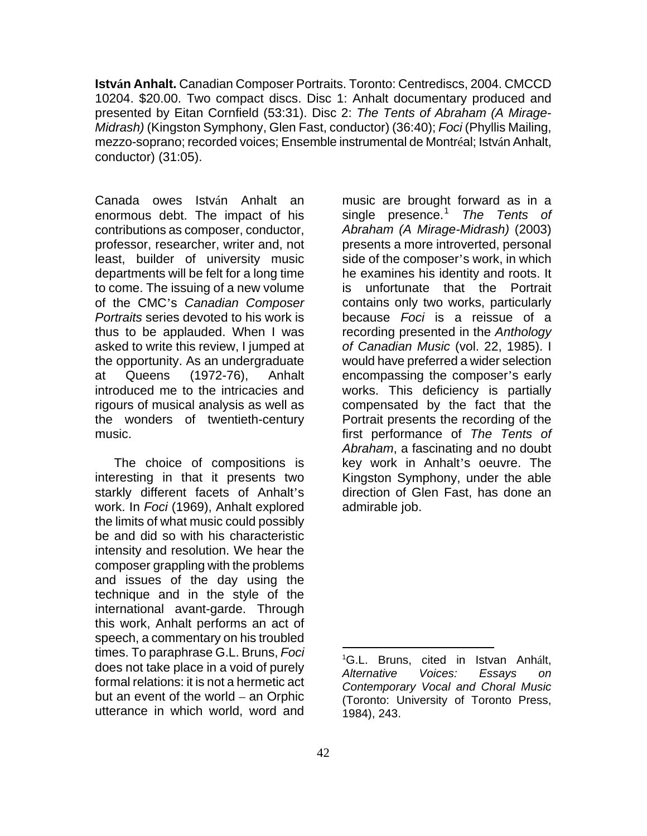**István Anhalt.** Canadian Composer Portraits. Toronto: Centrediscs, 2004. CMCCD 10204. \$20.00. Two compact discs. Disc 1: Anhalt documentary produced and presented by Eitan Cornfield (53:31). Disc 2: *The Tents of Abraham (A Mirage-Midrash)* (Kingston Symphony, Glen Fast, conductor) (36:40); *Foci* (Phyllis Mailing, mezzo-soprano; recorded voices; Ensemble instrumental de Montréal; István Anhalt, conductor) (31:05).

Canada owes István Anhalt an enormous debt. The impact of his contributions as composer, conductor, professor, researcher, writer and, not least, builder of university music departments will be felt for a long time to come. The issuing of a new volume of the CMC's *Canadian Composer Portraits* series devoted to his work is thus to be applauded. When I was asked to write this review, I jumped at the opportunity. As an undergraduate at Queens (1972-76), Anhalt introduced me to the intricacies and rigours of musical analysis as well as the wonders of twentieth-century music.

<span id="page-0-0"></span>The choice of compositions is interesting in that it presents two starkly different facets of Anhalt's work. In *Foci* (1969), Anhalt explored the limits of what music could possibly be and did so with his characteristic intensity and resolution. We hear the composer grappling with the problems and issues of the day using the technique and in the style of the international avant-garde. Through this work, Anhalt performs an act of speech, a commentary on his troubled times. To paraphrase G.L. Bruns, *Foci* does not take place in a void of purely formal relations: it is not a hermetic act but an event of the world – an Orphic utterance in which world, word and

music are brought forward as in a single presence.[1](#page-0-0) *The Tents of Abraham (A Mirage-Midrash)* (2003) presents a more introverted, personal side of the composer's work, in which he examines his identity and roots. It is unfortunate that the Portrait contains only two works, particularly because *Foci* is a reissue of a recording presented in the *Anthology of Canadian Music* (vol. 22, 1985). I would have preferred a wider selection encompassing the composer's early works. This deficiency is partially compensated by the fact that the Portrait presents the recording of the first performance of *The Tents of Abraham*, a fascinating and no doubt key work in Anhalt's oeuvre. The Kingston Symphony, under the able direction of Glen Fast, has done an admirable job.

 $\overline{a}$ 

<sup>1</sup> G.L. Bruns, cited in Istvan Anhált, *Alternative Voices: Essays on Contemporary Vocal and Choral Music* (Toronto: University of Toronto Press, 1984), 243.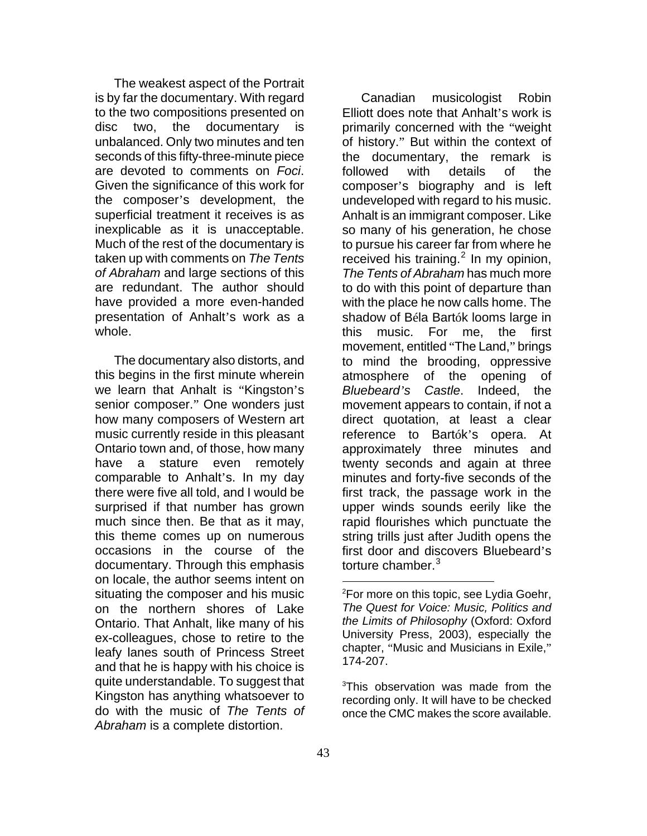The weakest aspect of the Portrait is by far the documentary. With regard to the two compositions presented on disc two, the documentary is unbalanced. Only two minutes and ten seconds of this fifty-three-minute piece are devoted to comments on *Foci*. Given the significance of this work for the composer's development, the superficial treatment it receives is as inexplicable as it is unacceptable. Much of the rest of the documentary is taken up with comments on *The Tents of Abraham* and large sections of this are redundant. The author should have provided a more even-handed presentation of Anhalt's work as a whole.

<span id="page-1-1"></span><span id="page-1-0"></span>The documentary also distorts, and this begins in the first minute wherein we learn that Anhalt is "Kingston's senior composer." One wonders just how many composers of Western art music currently reside in this pleasant Ontario town and, of those, how many have a stature even remotely comparable to Anhalt's. In my day there were five all told, and I would be surprised if that number has grown much since then. Be that as it may, this theme comes up on numerous occasions in the course of the documentary. Through this emphasis on locale, the author seems intent on situating the composer and his music on the northern shores of Lake Ontario. That Anhalt, like many of his ex-colleagues, chose to retire to the leafy lanes south of Princess Street and that he is happy with his choice is quite understandable. To suggest that Kingston has anything whatsoever to do with the music of *The Tents of Abraham* is a complete distortion.

Canadian musicologist Robin Elliott does note that Anhalt's work is primarily concerned with the "weight of history." But within the context of the documentary, the remark is followed with details of the composer's biography and is left undeveloped with regard to his music. Anhalt is an immigrant composer. Like so many of his generation, he chose to pursue his career far from where he received his training. $^2$  $^2$  In my opinion, *The Tents of Abraham* has much more to do with this point of departure than with the place he now calls home. The shadow of Béla Bartók looms large in this music. For me, the first movement, entitled "The Land," brings to mind the brooding, oppressive atmosphere of the opening of *Bluebeard's Castle*. Indeed, the movement appears to contain, if not a direct quotation, at least a clear reference to Bartók's opera. At approximately three minutes and twenty seconds and again at three minutes and forty-five seconds of the first track, the passage work in the upper winds sounds eerily like the rapid flourishes which punctuate the string trills just after Judith opens the first door and discovers Bluebeard's torture chamber. $3$ 

<sup>3</sup>This observation was made from the recording only. It will have to be checked once the CMC makes the score available.

 $\overline{a}$ 

<sup>&</sup>lt;sup>2</sup>For more on this topic, see Lydia Goehr, *The Quest for Voice: Music, Politics and the Limits of Philosophy* (Oxford: Oxford University Press, 2003), especially the chapter, "Music and Musicians in Exile," 174-207.